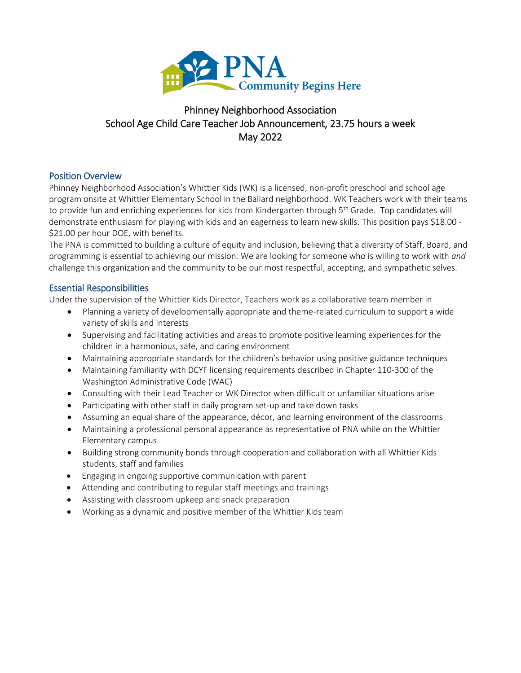

# Phinney Neighborhood Association School Age Child Care Teacher Job Announcement, 23.75 hours a week May 2022

# Position Overview

Phinney Neighborhood Association's Whittier Kids (WK) is a licensed, non-profit preschool and school age program onsite at Whittier Elementary School in the Ballard neighborhood. WK Teachers work with their teams to provide fun and enriching experiences for kids from Kindergarten through 5<sup>th</sup> Grade. Top candidates will demonstrate enthusiasm for playing with kids and an eagerness to learn new skills. This position pays \$18.00 - \$21.00 per hour DOE, with benefits.

The PNA is committed to building a culture of equity and inclusion, believing that a diversity of Staff, Board, and programming is essential to achieving our mission. We are looking for someone who is willing to work with *and* challenge this organization and the community to be our most respectful, accepting, and sympathetic selves.

# Essential Responsibilities

Under the supervision of the Whittier Kids Director, Teachers work as a collaborative team member in

- Planning a variety of developmentally appropriate and theme-related curriculum to support a wide variety of skills and interests
- Supervising and facilitating activities and areas to promote positive learning experiences for the children in a harmonious, safe, and caring environment
- Maintaining appropriate standards for the children's behavior using positive guidance techniques
- Maintaining familiarity with DCYF licensing requirements described in Chapter 110-300 of the Washington Administrative Code (WAC)
- Consulting with their Lead Teacher or WK Director when difficult or unfamiliar situations arise
- Participating with other staff in daily program set-up and take down tasks
- Assuming an equal share of the appearance, décor, and learning environment of the classrooms
- Maintaining a professional personal appearance as representative of PNA while on the Whittier Elementary campus
- Building strong community bonds through cooperation and collaboration with all Whittier Kids students, staff and families
- Engaging in ongoing supportive communication with parent
- Attending and contributing to regular staff meetings and trainings
- Assisting with classroom upkeep and snack preparation
- Working as a dynamic and positive member of the Whittier Kids team